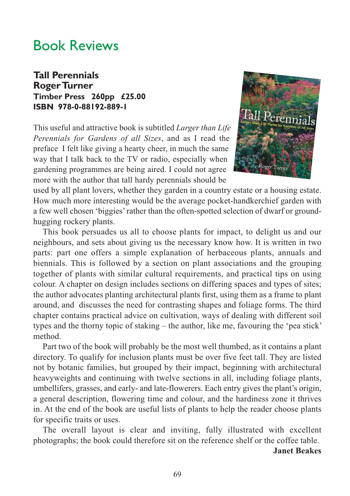## Book Reviews

## **Tall Perennials Roger Turner Timber Press 260pp £25.00 ISBN 978-0-88192-889-1**

This useful and attractive book is subtitled *Larger than Life Perennials for Gardens of all Sizes*, and as I read the preface I felt like giving a hearty cheer, in much the same way that I talk back to the TV or radio, especially when gardening programmes are being aired. I could not agree more with the author that tall hardy perennials should be



used by all plant lovers, whether they garden in a country estate or a housing estate. How much more interesting would be the average pocket-handkerchief garden with a few well chosen 'biggies' rather than the often-spotted selection of dwarf or groundhugging rockery plants.

This book persuades us all to choose plants for impact, to delight us and our neighbours, and sets about giving us the necessary know how. It is written in two parts: part one offers a simple explanation of herbaceous plants, annuals and biennials. This is followed by a section on plant associations and the grouping together of plants with similar cultural requirements, and practical tips on using colour. A chapter on design includes sections on differing spaces and types of sites; the author advocates planting architectural plants first, using them as a frame to plant around, and discusses the need for contrasting shapes and foliage forms. The third chapter contains practical advice on cultivation, ways of dealing with different soil types and the thorny topic of staking – the author, like me, favouring the 'pea stick' method.

Part two of the book will probably be the most well thumbed, as it contains a plant directory. To qualify for inclusion plants must be over five feet tall. They are listed not by botanic families, but grouped by their impact, beginning with architectural heavyweights and continuing with twelve sections in all, including foliage plants, umbellifers, grasses, and early- and late-flowerers. Each entry gives the plant's origin, a general description, flowering time and colour, and the hardiness zone it thrives in. At the end of the book are useful lists of plants to help the reader choose plants for specific traits or uses.

The overall layout is clear and inviting, fully illustrated with excellent photographs; the book could therefore sit on the reference shelf or the coffee table.

**Janet Beakes**